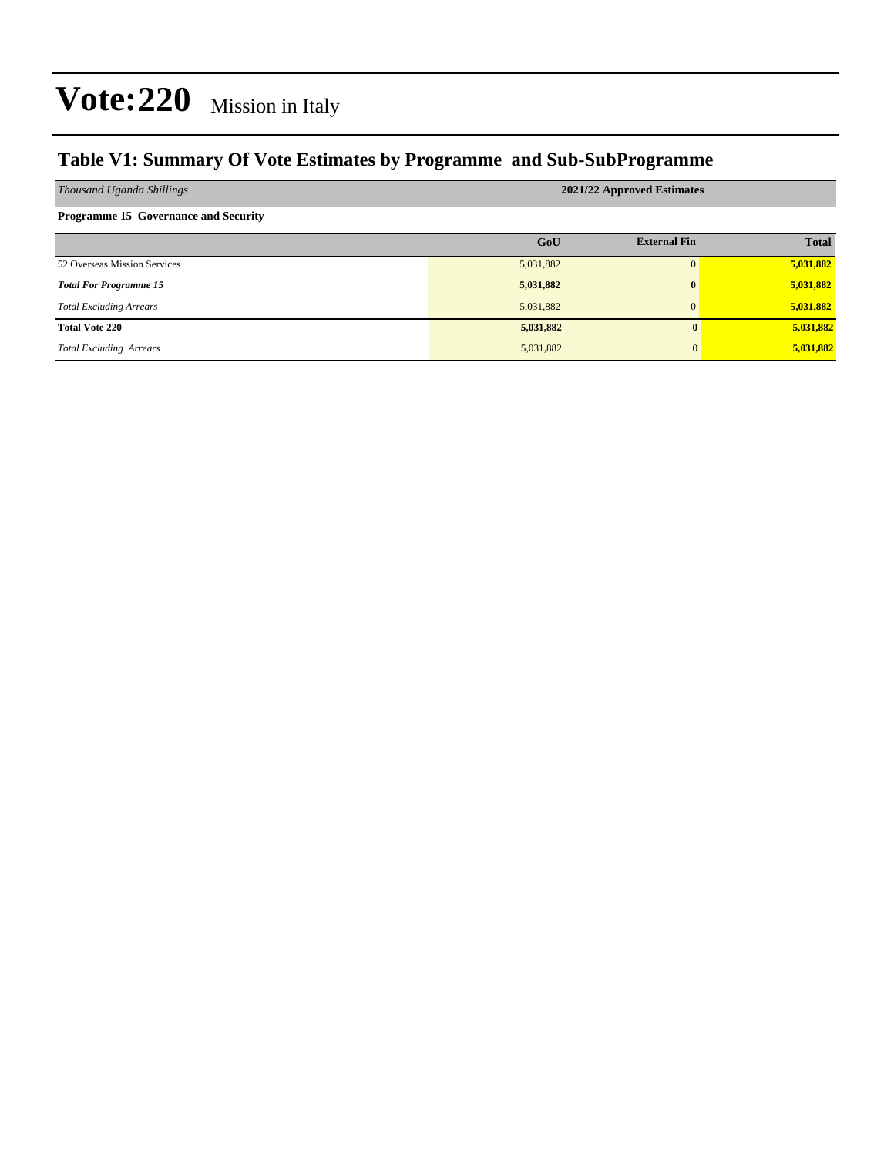### **Table V1: Summary Of Vote Estimates by Programme and Sub-SubProgramme**

| Thousand Uganda Shillings                   | 2021/22 Approved Estimates |                     |              |  |  |  |
|---------------------------------------------|----------------------------|---------------------|--------------|--|--|--|
| <b>Programme 15 Governance and Security</b> |                            |                     |              |  |  |  |
|                                             | GoU                        | <b>External Fin</b> | <b>Total</b> |  |  |  |
| 52 Overseas Mission Services                | 5,031,882                  |                     | 5,031,882    |  |  |  |
| <b>Total For Programme 15</b>               | 5,031,882                  |                     | 5,031,882    |  |  |  |
| <b>Total Excluding Arrears</b>              | 5,031,882                  |                     | 5,031,882    |  |  |  |
| <b>Total Vote 220</b>                       | 5,031,882                  | $\mathbf{0}$        | 5,031,882    |  |  |  |
| <b>Total Excluding Arrears</b>              | 5,031,882                  | $\overline{0}$      | 5,031,882    |  |  |  |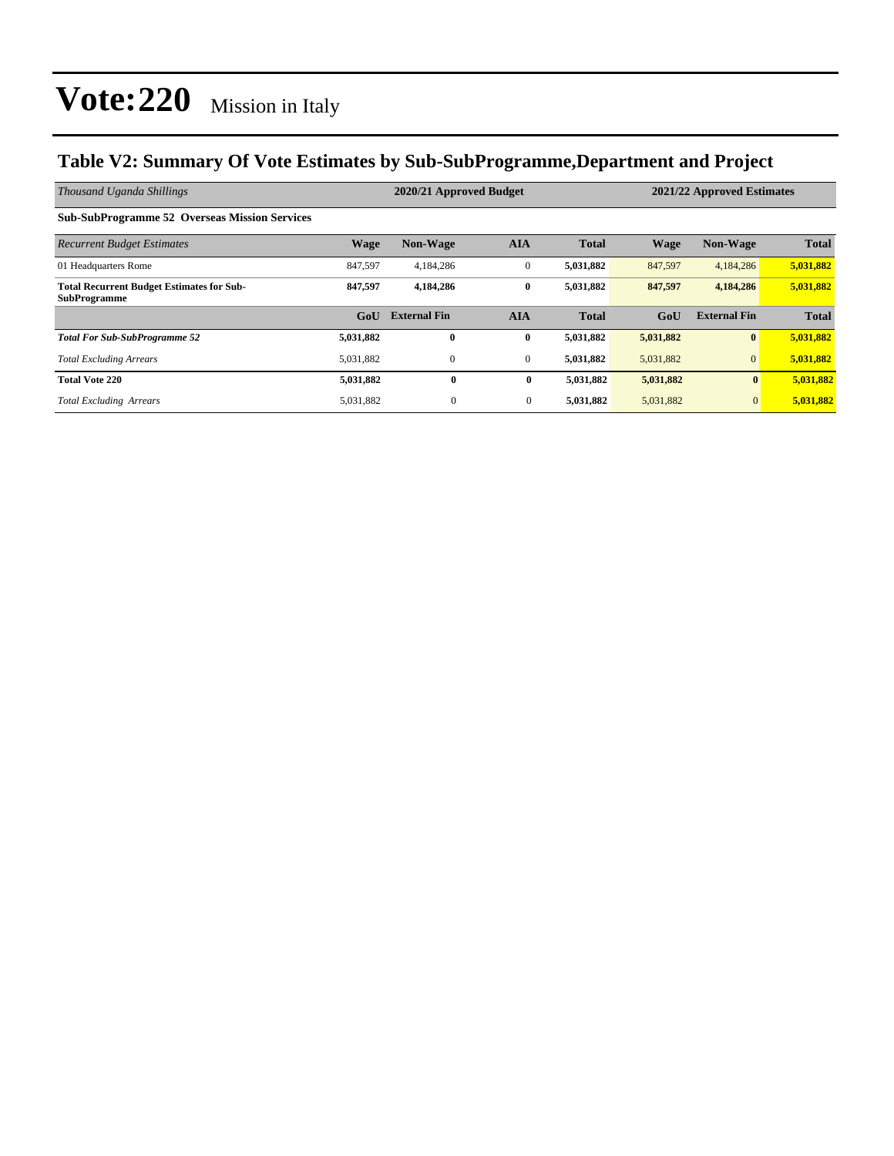### **Table V2: Summary Of Vote Estimates by Sub-SubProgramme,Department and Project**

| Thousand Uganda Shillings                                               | 2020/21 Approved Budget<br>2021/22 Approved Estimates |                     |                  |              |             |                     |              |
|-------------------------------------------------------------------------|-------------------------------------------------------|---------------------|------------------|--------------|-------------|---------------------|--------------|
| <b>Sub-SubProgramme 52 Overseas Mission Services</b>                    |                                                       |                     |                  |              |             |                     |              |
| <b>Recurrent Budget Estimates</b>                                       | <b>Wage</b>                                           | <b>Non-Wage</b>     | <b>AIA</b>       | <b>Total</b> | <b>Wage</b> | <b>Non-Wage</b>     | <b>Total</b> |
| 01 Headquarters Rome                                                    | 847,597                                               | 4,184,286           | $\boldsymbol{0}$ | 5,031,882    | 847,597     | 4,184,286           | 5,031,882    |
| <b>Total Recurrent Budget Estimates for Sub-</b><br><b>SubProgramme</b> | 847,597                                               | 4,184,286           | $\bf{0}$         | 5,031,882    | 847,597     | 4,184,286           | 5,031,882    |
|                                                                         | G <sub>0</sub> U                                      | <b>External Fin</b> | <b>AIA</b>       | <b>Total</b> | GoU         | <b>External Fin</b> | <b>Total</b> |
| <b>Total For Sub-SubProgramme 52</b>                                    | 5,031,882                                             | $\bf{0}$            | $\bf{0}$         | 5,031,882    | 5,031,882   | $\bf{0}$            | 5,031,882    |
| <b>Total Excluding Arrears</b>                                          | 5,031,882                                             | $\mathbf{0}$        | $\mathbf{0}$     | 5,031,882    | 5,031,882   | $\overline{0}$      | 5,031,882    |
| <b>Total Vote 220</b>                                                   | 5,031,882                                             | $\bf{0}$            | $\bf{0}$         | 5,031,882    | 5,031,882   | $\mathbf{0}$        | 5,031,882    |
| <b>Total Excluding Arrears</b>                                          | 5,031,882                                             | $\mathbf{0}$        | $\overline{0}$   | 5,031,882    | 5,031,882   | $\mathbf{0}$        | 5,031,882    |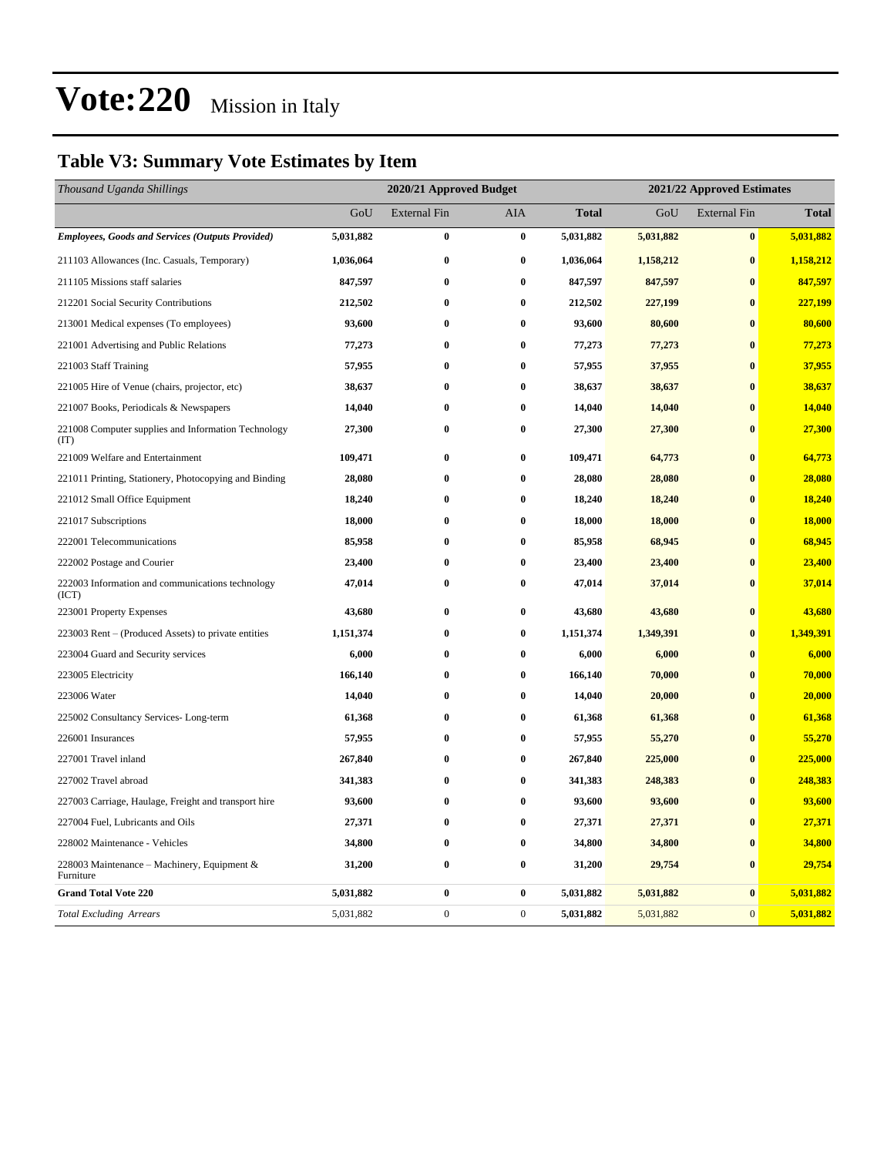### **Table V3: Summary Vote Estimates by Item**

| Thousand Uganda Shillings                                   |           | 2020/21 Approved Budget |                  |              | 2021/22 Approved Estimates |                     |              |  |
|-------------------------------------------------------------|-----------|-------------------------|------------------|--------------|----------------------------|---------------------|--------------|--|
|                                                             | GoU       | <b>External Fin</b>     | AIA              | <b>Total</b> | GoU                        | <b>External Fin</b> | <b>Total</b> |  |
| <b>Employees, Goods and Services (Outputs Provided)</b>     | 5,031,882 | 0                       | $\bf{0}$         | 5,031,882    | 5,031,882                  | $\bf{0}$            | 5,031,882    |  |
| 211103 Allowances (Inc. Casuals, Temporary)                 | 1,036,064 | 0                       | $\bf{0}$         | 1,036,064    | 1,158,212                  | $\bf{0}$            | 1,158,212    |  |
| 211105 Missions staff salaries                              | 847,597   | $\bf{0}$                | $\bf{0}$         | 847,597      | 847,597                    | $\bf{0}$            | 847,597      |  |
| 212201 Social Security Contributions                        | 212,502   | $\bf{0}$                | $\bf{0}$         | 212,502      | 227,199                    | $\bf{0}$            | 227,199      |  |
| 213001 Medical expenses (To employees)                      | 93,600    | $\bf{0}$                | $\bf{0}$         | 93,600       | 80,600                     | $\bf{0}$            | 80,600       |  |
| 221001 Advertising and Public Relations                     | 77,273    | $\bf{0}$                | $\bf{0}$         | 77,273       | 77,273                     | $\bf{0}$            | 77,273       |  |
| 221003 Staff Training                                       | 57,955    | $\bf{0}$                | $\bf{0}$         | 57,955       | 37,955                     | $\bf{0}$            | 37,955       |  |
| 221005 Hire of Venue (chairs, projector, etc)               | 38,637    | 0                       | $\bf{0}$         | 38,637       | 38,637                     | $\bf{0}$            | 38,637       |  |
| 221007 Books, Periodicals & Newspapers                      | 14,040    | 0                       | $\bf{0}$         | 14,040       | 14,040                     | $\bf{0}$            | 14,040       |  |
| 221008 Computer supplies and Information Technology<br>(TT) | 27,300    | 0                       | $\bf{0}$         | 27,300       | 27,300                     | $\bf{0}$            | 27,300       |  |
| 221009 Welfare and Entertainment                            | 109,471   | 0                       | $\bf{0}$         | 109,471      | 64,773                     | $\bf{0}$            | 64,773       |  |
| 221011 Printing, Stationery, Photocopying and Binding       | 28,080    | 0                       | $\bf{0}$         | 28,080       | 28,080                     | $\bf{0}$            | 28,080       |  |
| 221012 Small Office Equipment                               | 18,240    | 0                       | $\bf{0}$         | 18,240       | 18,240                     | $\bf{0}$            | 18,240       |  |
| 221017 Subscriptions                                        | 18,000    | $\bf{0}$                | $\bf{0}$         | 18,000       | 18,000                     | $\bf{0}$            | 18,000       |  |
| 222001 Telecommunications                                   | 85,958    | 0                       | $\bf{0}$         | 85,958       | 68,945                     | $\bf{0}$            | 68,945       |  |
| 222002 Postage and Courier                                  | 23,400    | $\bf{0}$                | $\bf{0}$         | 23,400       | 23,400                     | $\bf{0}$            | 23,400       |  |
| 222003 Information and communications technology<br>(ICT)   | 47,014    | $\bf{0}$                | $\bf{0}$         | 47,014       | 37,014                     | $\bf{0}$            | 37,014       |  |
| 223001 Property Expenses                                    | 43,680    | 0                       | $\bf{0}$         | 43,680       | 43,680                     | $\bf{0}$            | 43,680       |  |
| 223003 Rent – (Produced Assets) to private entities         | 1,151,374 | $\bf{0}$                | $\bf{0}$         | 1,151,374    | 1,349,391                  | $\bf{0}$            | 1,349,391    |  |
| 223004 Guard and Security services                          | 6,000     | 0                       | $\bf{0}$         | 6,000        | 6,000                      | $\bf{0}$            | 6,000        |  |
| 223005 Electricity                                          | 166,140   | 0                       | $\bf{0}$         | 166,140      | 70,000                     | $\bf{0}$            | 70,000       |  |
| 223006 Water                                                | 14,040    | 0                       | $\boldsymbol{0}$ | 14,040       | 20,000                     | $\bf{0}$            | 20,000       |  |
| 225002 Consultancy Services-Long-term                       | 61,368    | $\bf{0}$                | $\bf{0}$         | 61,368       | 61,368                     | $\bf{0}$            | 61,368       |  |
| 226001 Insurances                                           | 57,955    | 0                       | $\bf{0}$         | 57,955       | 55,270                     | $\bf{0}$            | 55,270       |  |
| 227001 Travel inland                                        | 267,840   | 0                       | $\bf{0}$         | 267,840      | 225,000                    | $\bf{0}$            | 225,000      |  |
| 227002 Travel abroad                                        | 341,383   | $\bf{0}$                | $\bf{0}$         | 341,383      | 248,383                    | $\bf{0}$            | 248,383      |  |
| 227003 Carriage, Haulage, Freight and transport hire        | 93,600    | 0                       | $\bf{0}$         | 93,600       | 93,600                     | $\bf{0}$            | 93,600       |  |
| 227004 Fuel, Lubricants and Oils                            | 27,371    | $\bf{0}$                | $\bf{0}$         | 27,371       | 27,371                     | $\bf{0}$            | 27,371       |  |
| 228002 Maintenance - Vehicles                               | 34,800    | $\bf{0}$                | $\boldsymbol{0}$ | 34,800       | 34,800                     | $\bf{0}$            | 34,800       |  |
| 228003 Maintenance – Machinery, Equipment &<br>Furniture    | 31,200    | $\bf{0}$                | $\bf{0}$         | 31,200       | 29,754                     | $\bf{0}$            | 29,754       |  |
| <b>Grand Total Vote 220</b>                                 | 5,031,882 | 0                       | $\bf{0}$         | 5,031,882    | 5,031,882                  | $\pmb{0}$           | 5,031,882    |  |
| <b>Total Excluding Arrears</b>                              | 5,031,882 | $\overline{0}$          | $\boldsymbol{0}$ | 5,031,882    | 5,031,882                  | $\mathbf{0}$        | 5,031,882    |  |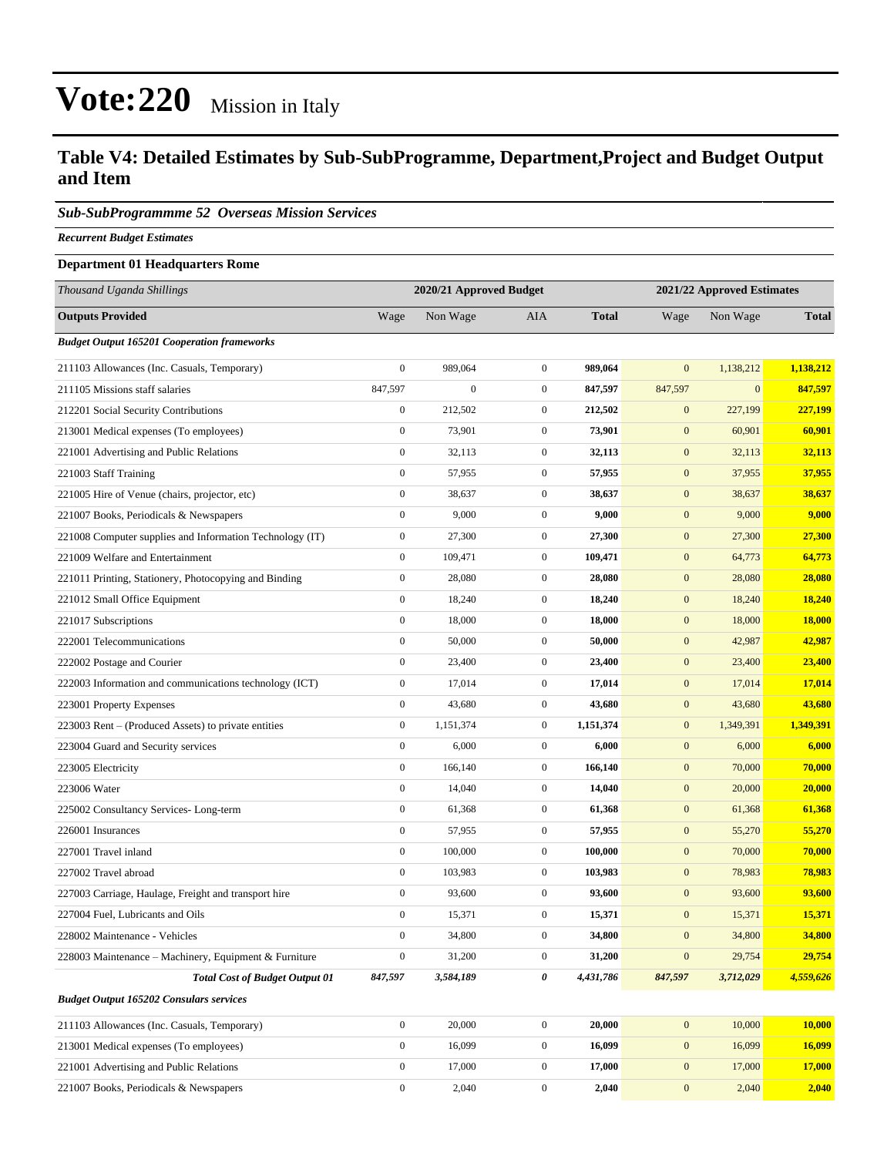#### **Table V4: Detailed Estimates by Sub-SubProgramme, Department,Project and Budget Output and Item**

#### *Sub-SubProgrammme 52 Overseas Mission Services*

*Recurrent Budget Estimates*

#### **Department 01 Headquarters Rome**

| Thousand Uganda Shillings                                |                  | 2020/21 Approved Budget |                  |              |                  | 2021/22 Approved Estimates |              |
|----------------------------------------------------------|------------------|-------------------------|------------------|--------------|------------------|----------------------------|--------------|
| <b>Outputs Provided</b>                                  | Wage             | Non Wage                | <b>AIA</b>       | <b>Total</b> | Wage             | Non Wage                   | <b>Total</b> |
| <b>Budget Output 165201 Cooperation frameworks</b>       |                  |                         |                  |              |                  |                            |              |
| 211103 Allowances (Inc. Casuals, Temporary)              | $\boldsymbol{0}$ | 989,064                 | $\boldsymbol{0}$ | 989,064      | $\mathbf{0}$     | 1,138,212                  | 1,138,212    |
| 211105 Missions staff salaries                           | 847,597          | $\boldsymbol{0}$        | $\mathbf{0}$     | 847,597      | 847,597          | $\mathbf{0}$               | 847,597      |
| 212201 Social Security Contributions                     | $\boldsymbol{0}$ | 212,502                 | $\mathbf{0}$     | 212,502      | $\mathbf{0}$     | 227,199                    | 227,199      |
| 213001 Medical expenses (To employees)                   | $\boldsymbol{0}$ | 73,901                  | $\boldsymbol{0}$ | 73,901       | $\boldsymbol{0}$ | 60,901                     | 60,901       |
| 221001 Advertising and Public Relations                  | $\mathbf{0}$     | 32,113                  | $\boldsymbol{0}$ | 32,113       | $\boldsymbol{0}$ | 32,113                     | 32,113       |
| 221003 Staff Training                                    | $\boldsymbol{0}$ | 57,955                  | $\boldsymbol{0}$ | 57,955       | $\boldsymbol{0}$ | 37,955                     | 37,955       |
| 221005 Hire of Venue (chairs, projector, etc)            | $\mathbf{0}$     | 38,637                  | $\mathbf{0}$     | 38,637       | $\mathbf{0}$     | 38,637                     | 38,637       |
| 221007 Books, Periodicals & Newspapers                   | $\boldsymbol{0}$ | 9,000                   | $\mathbf{0}$     | 9,000        | $\mathbf{0}$     | 9,000                      | 9,000        |
| 221008 Computer supplies and Information Technology (IT) | $\boldsymbol{0}$ | 27,300                  | $\boldsymbol{0}$ | 27,300       | $\boldsymbol{0}$ | 27,300                     | 27,300       |
| 221009 Welfare and Entertainment                         | $\boldsymbol{0}$ | 109,471                 | $\boldsymbol{0}$ | 109,471      | $\boldsymbol{0}$ | 64,773                     | 64,773       |
| 221011 Printing, Stationery, Photocopying and Binding    | $\boldsymbol{0}$ | 28,080                  | $\boldsymbol{0}$ | 28,080       | $\boldsymbol{0}$ | 28,080                     | 28,080       |
| 221012 Small Office Equipment                            | $\mathbf{0}$     | 18,240                  | $\mathbf{0}$     | 18,240       | $\mathbf{0}$     | 18,240                     | 18,240       |
| 221017 Subscriptions                                     | $\boldsymbol{0}$ | 18,000                  | $\mathbf{0}$     | 18,000       | $\mathbf{0}$     | 18,000                     | 18,000       |
| 222001 Telecommunications                                | $\boldsymbol{0}$ | 50,000                  | $\boldsymbol{0}$ | 50,000       | $\boldsymbol{0}$ | 42,987                     | 42,987       |
| 222002 Postage and Courier                               | $\boldsymbol{0}$ | 23,400                  | $\boldsymbol{0}$ | 23,400       | $\boldsymbol{0}$ | 23,400                     | 23,400       |
| 222003 Information and communications technology (ICT)   | $\boldsymbol{0}$ | 17,014                  | $\boldsymbol{0}$ | 17,014       | $\boldsymbol{0}$ | 17,014                     | 17,014       |
| 223001 Property Expenses                                 | $\mathbf{0}$     | 43,680                  | $\mathbf{0}$     | 43,680       | $\mathbf{0}$     | 43,680                     | 43,680       |
| 223003 Rent – (Produced Assets) to private entities      | $\boldsymbol{0}$ | 1,151,374               | $\mathbf{0}$     | 1,151,374    | $\mathbf{0}$     | 1,349,391                  | 1,349,391    |
| 223004 Guard and Security services                       | $\boldsymbol{0}$ | 6,000                   | $\boldsymbol{0}$ | 6,000        | $\boldsymbol{0}$ | 6,000                      | 6,000        |
| 223005 Electricity                                       | $\mathbf{0}$     | 166,140                 | $\mathbf{0}$     | 166,140      | $\boldsymbol{0}$ | 70,000                     | 70,000       |
| 223006 Water                                             | $\boldsymbol{0}$ | 14,040                  | $\boldsymbol{0}$ | 14,040       | $\boldsymbol{0}$ | 20,000                     | 20,000       |
| 225002 Consultancy Services-Long-term                    | $\mathbf{0}$     | 61,368                  | $\mathbf{0}$     | 61,368       | $\boldsymbol{0}$ | 61,368                     | 61,368       |
| 226001 Insurances                                        | $\boldsymbol{0}$ | 57,955                  | $\mathbf{0}$     | 57,955       | $\mathbf{0}$     | 55,270                     | 55,270       |
| 227001 Travel inland                                     | $\boldsymbol{0}$ | 100,000                 | $\boldsymbol{0}$ | 100,000      | $\boldsymbol{0}$ | 70,000                     | 70,000       |
| 227002 Travel abroad                                     | $\boldsymbol{0}$ | 103,983                 | $\mathbf{0}$     | 103,983      | $\boldsymbol{0}$ | 78,983                     | 78,983       |
| 227003 Carriage, Haulage, Freight and transport hire     | $\boldsymbol{0}$ | 93,600                  | $\boldsymbol{0}$ | 93,600       | $\boldsymbol{0}$ | 93,600                     | 93,600       |
| 227004 Fuel, Lubricants and Oils                         | $\boldsymbol{0}$ | 15,371                  | $\mathbf{0}$     | 15,371       | $\mathbf{0}$     | 15,371                     | 15,371       |
| 228002 Maintenance - Vehicles                            | $\boldsymbol{0}$ | 34,800                  | $\boldsymbol{0}$ | 34,800       | $\boldsymbol{0}$ | 34,800                     | 34,800       |
| 228003 Maintenance – Machinery, Equipment & Furniture    | $\boldsymbol{0}$ | 31,200                  | $\boldsymbol{0}$ | 31,200       | $\boldsymbol{0}$ | 29,754                     | 29,754       |
| <b>Total Cost of Budget Output 01</b>                    | 847,597          | 3,584,189               | 0                | 4,431,786    | 847,597          | 3,712,029                  | 4,559,626    |
| <b>Budget Output 165202 Consulars services</b>           |                  |                         |                  |              |                  |                            |              |
| 211103 Allowances (Inc. Casuals, Temporary)              | $\boldsymbol{0}$ | 20,000                  | $\boldsymbol{0}$ | 20,000       | $\mathbf{0}$     | 10,000                     | 10,000       |
| 213001 Medical expenses (To employees)                   | $\boldsymbol{0}$ | 16,099                  | $\boldsymbol{0}$ | 16,099       | $\mathbf{0}$     | 16,099                     | 16,099       |
| 221001 Advertising and Public Relations                  | $\boldsymbol{0}$ | 17,000                  | $\boldsymbol{0}$ | 17,000       | $\mathbf{0}$     | 17,000                     | 17,000       |
| 221007 Books, Periodicals & Newspapers                   | $\boldsymbol{0}$ | 2,040                   | $\mathbf{0}$     | 2,040        | $\mathbf{0}$     | 2,040                      | 2,040        |